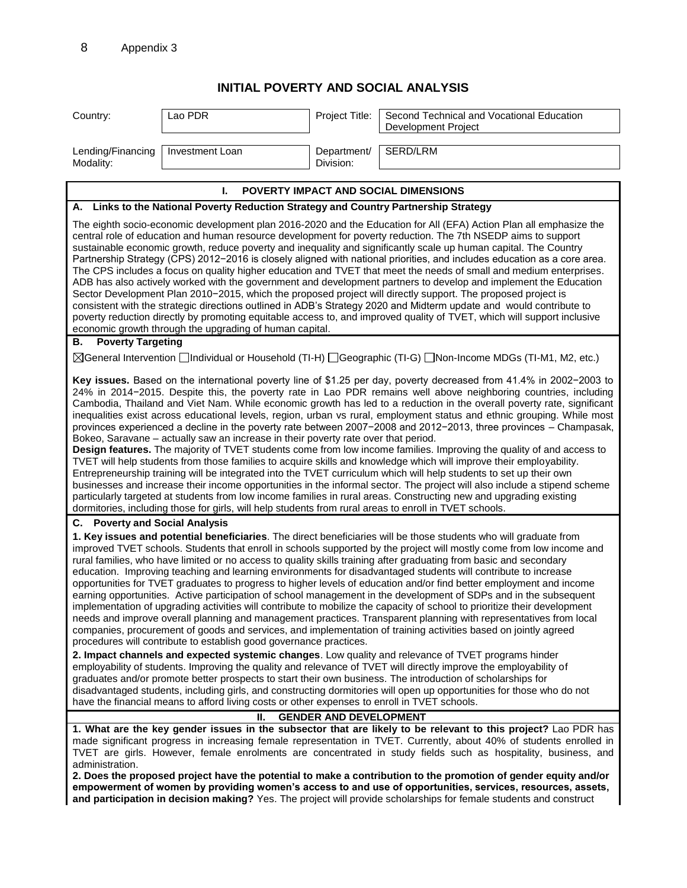## **INITIAL POVERTY AND SOCIAL ANALYSIS**

| Country:                                                                                                                                                                                                                                                                                                                                                                                                                                                                                                                                                                                                                                                                                                                                                                                                                                                                                                                                                                                                                                                                                                                                                                                                                                                                                                                                                                                                                                 | Lao PDR                                                                                      | Project Title:           | Second Technical and Vocational Education<br>Development Project                                                                                                                                                                                                                                                                                                                                                                                                 |  |  |
|------------------------------------------------------------------------------------------------------------------------------------------------------------------------------------------------------------------------------------------------------------------------------------------------------------------------------------------------------------------------------------------------------------------------------------------------------------------------------------------------------------------------------------------------------------------------------------------------------------------------------------------------------------------------------------------------------------------------------------------------------------------------------------------------------------------------------------------------------------------------------------------------------------------------------------------------------------------------------------------------------------------------------------------------------------------------------------------------------------------------------------------------------------------------------------------------------------------------------------------------------------------------------------------------------------------------------------------------------------------------------------------------------------------------------------------|----------------------------------------------------------------------------------------------|--------------------------|------------------------------------------------------------------------------------------------------------------------------------------------------------------------------------------------------------------------------------------------------------------------------------------------------------------------------------------------------------------------------------------------------------------------------------------------------------------|--|--|
| Lending/Financing<br>Modality:                                                                                                                                                                                                                                                                                                                                                                                                                                                                                                                                                                                                                                                                                                                                                                                                                                                                                                                                                                                                                                                                                                                                                                                                                                                                                                                                                                                                           | Investment Loan                                                                              | Department/<br>Division: | SERD/LRM                                                                                                                                                                                                                                                                                                                                                                                                                                                         |  |  |
|                                                                                                                                                                                                                                                                                                                                                                                                                                                                                                                                                                                                                                                                                                                                                                                                                                                                                                                                                                                                                                                                                                                                                                                                                                                                                                                                                                                                                                          |                                                                                              |                          |                                                                                                                                                                                                                                                                                                                                                                                                                                                                  |  |  |
| <b>POVERTY IMPACT AND SOCIAL DIMENSIONS</b><br>I.                                                                                                                                                                                                                                                                                                                                                                                                                                                                                                                                                                                                                                                                                                                                                                                                                                                                                                                                                                                                                                                                                                                                                                                                                                                                                                                                                                                        |                                                                                              |                          |                                                                                                                                                                                                                                                                                                                                                                                                                                                                  |  |  |
| A. Links to the National Poverty Reduction Strategy and Country Partnership Strategy                                                                                                                                                                                                                                                                                                                                                                                                                                                                                                                                                                                                                                                                                                                                                                                                                                                                                                                                                                                                                                                                                                                                                                                                                                                                                                                                                     |                                                                                              |                          |                                                                                                                                                                                                                                                                                                                                                                                                                                                                  |  |  |
| The eighth socio-economic development plan 2016-2020 and the Education for All (EFA) Action Plan all emphasize the<br>central role of education and human resource development for poverty reduction. The 7th NSEDP aims to support<br>sustainable economic growth, reduce poverty and inequality and significantly scale up human capital. The Country<br>Partnership Strategy (CPS) 2012-2016 is closely aligned with national priorities, and includes education as a core area.<br>The CPS includes a focus on quality higher education and TVET that meet the needs of small and medium enterprises.<br>ADB has also actively worked with the government and development partners to develop and implement the Education<br>Sector Development Plan 2010-2015, which the proposed project will directly support. The proposed project is<br>consistent with the strategic directions outlined in ADB's Strategy 2020 and Midterm update and would contribute to<br>poverty reduction directly by promoting equitable access to, and improved quality of TVET, which will support inclusive<br>economic growth through the upgrading of human capital.                                                                                                                                                                                                                                                                               |                                                                                              |                          |                                                                                                                                                                                                                                                                                                                                                                                                                                                                  |  |  |
| <b>Poverty Targeting</b><br>В.                                                                                                                                                                                                                                                                                                                                                                                                                                                                                                                                                                                                                                                                                                                                                                                                                                                                                                                                                                                                                                                                                                                                                                                                                                                                                                                                                                                                           |                                                                                              |                          |                                                                                                                                                                                                                                                                                                                                                                                                                                                                  |  |  |
| ⊠General Intervention Individual or Household (TI-H) I Geographic (TI-G) I Non-Income MDGs (TI-M1, M2, etc.)                                                                                                                                                                                                                                                                                                                                                                                                                                                                                                                                                                                                                                                                                                                                                                                                                                                                                                                                                                                                                                                                                                                                                                                                                                                                                                                             |                                                                                              |                          |                                                                                                                                                                                                                                                                                                                                                                                                                                                                  |  |  |
| Key issues. Based on the international poverty line of \$1.25 per day, poverty decreased from 41.4% in 2002-2003 to<br>24% in 2014-2015. Despite this, the poverty rate in Lao PDR remains well above neighboring countries, including<br>Cambodia, Thailand and Viet Nam. While economic growth has led to a reduction in the overall poverty rate, significant<br>inequalities exist across educational levels, region, urban vs rural, employment status and ethnic grouping. While most<br>provinces experienced a decline in the poverty rate between 2007-2008 and 2012-2013, three provinces - Champasak,<br>Bokeo, Saravane - actually saw an increase in their poverty rate over that period.<br>Design features. The majority of TVET students come from low income families. Improving the quality of and access to<br>TVET will help students from those families to acquire skills and knowledge which will improve their employability.<br>Entrepreneurship training will be integrated into the TVET curriculum which will help students to set up their own<br>businesses and increase their income opportunities in the informal sector. The project will also include a stipend scheme<br>particularly targeted at students from low income families in rural areas. Constructing new and upgrading existing<br>dormitories, including those for girls, will help students from rural areas to enroll in TVET schools. |                                                                                              |                          |                                                                                                                                                                                                                                                                                                                                                                                                                                                                  |  |  |
| <b>Poverty and Social Analysis</b><br>С.                                                                                                                                                                                                                                                                                                                                                                                                                                                                                                                                                                                                                                                                                                                                                                                                                                                                                                                                                                                                                                                                                                                                                                                                                                                                                                                                                                                                 |                                                                                              |                          |                                                                                                                                                                                                                                                                                                                                                                                                                                                                  |  |  |
| 1. Key issues and potential beneficiaries. The direct beneficiaries will be those students who will graduate from<br>improved TVET schools. Students that enroll in schools supported by the project will mostly come from low income and<br>rural families, who have limited or no access to quality skills training after graduating from basic and secondary<br>education. Improving teaching and learning environments for disadvantaged students will contribute to increase<br>opportunities for TVET graduates to progress to higher levels of education and/or find better employment and income<br>earning opportunities. Active participation of school management in the development of SDPs and in the subsequent<br>implementation of upgrading activities will contribute to mobilize the capacity of school to prioritize their development<br>needs and improve overall planning and management practices. Transparent planning with representatives from local<br>companies, procurement of goods and services, and implementation of training activities based on jointly agreed<br>procedures will contribute to establish good governance practices.                                                                                                                                                                                                                                                                 |                                                                                              |                          |                                                                                                                                                                                                                                                                                                                                                                                                                                                                  |  |  |
|                                                                                                                                                                                                                                                                                                                                                                                                                                                                                                                                                                                                                                                                                                                                                                                                                                                                                                                                                                                                                                                                                                                                                                                                                                                                                                                                                                                                                                          | have the financial means to afford living costs or other expenses to enroll in TVET schools. |                          | 2. Impact channels and expected systemic changes. Low quality and relevance of TVET programs hinder<br>employability of students. Improving the quality and relevance of TVET will directly improve the employability of<br>graduates and/or promote better prospects to start their own business. The introduction of scholarships for<br>disadvantaged students, including girls, and constructing dormitories will open up opportunities for those who do not |  |  |
| <b>GENDER AND DEVELOPMENT</b><br>Ш.                                                                                                                                                                                                                                                                                                                                                                                                                                                                                                                                                                                                                                                                                                                                                                                                                                                                                                                                                                                                                                                                                                                                                                                                                                                                                                                                                                                                      |                                                                                              |                          |                                                                                                                                                                                                                                                                                                                                                                                                                                                                  |  |  |
| 1. What are the key gender issues in the subsector that are likely to be relevant to this project? Lao PDR has<br>made significant progress in increasing female representation in TVET. Currently, about 40% of students enrolled in<br>TVET are girls. However, female enrolments are concentrated in study fields such as hospitality, business, and<br>administration.<br>2. Does the proposed project have the potential to make a contribution to the promotion of gender equity and/or<br>empowerment of women by providing women's access to and use of opportunities, services, resources, assets,                                                                                                                                                                                                                                                                                                                                                                                                                                                                                                                                                                                                                                                                                                                                                                                                                              |                                                                                              |                          |                                                                                                                                                                                                                                                                                                                                                                                                                                                                  |  |  |
|                                                                                                                                                                                                                                                                                                                                                                                                                                                                                                                                                                                                                                                                                                                                                                                                                                                                                                                                                                                                                                                                                                                                                                                                                                                                                                                                                                                                                                          |                                                                                              |                          | and participation in decision making? Yes. The project will provide scholarships for female students and construct                                                                                                                                                                                                                                                                                                                                               |  |  |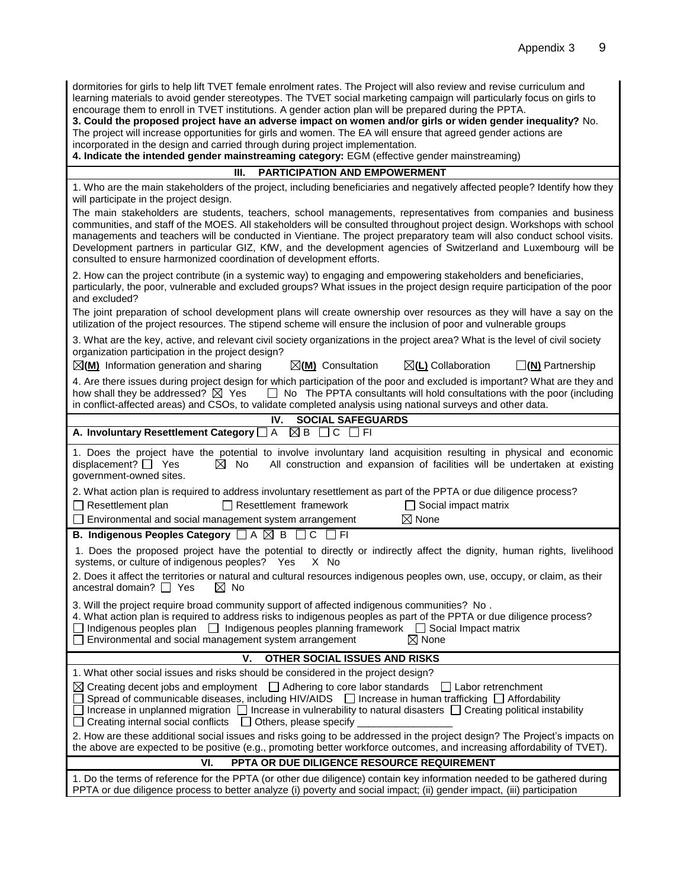dormitories for girls to help lift TVET female enrolment rates. The Project will also review and revise curriculum and learning materials to avoid gender stereotypes. The TVET social marketing campaign will particularly focus on girls to encourage them to enroll in TVET institutions. A gender action plan will be prepared during the PPTA.

**3. Could the proposed project have an adverse impact on women and/or girls or widen gender inequality?** No. The project will increase opportunities for girls and women. The EA will ensure that agreed gender actions are incorporated in the design and carried through during project implementation.

**4. Indicate the intended gender mainstreaming category:** EGM (effective gender mainstreaming)

| <b>PARTICIPATION AND EMPOWERMENT</b><br>III.                                                                                                                                                                                                                                                                                                                                                                                                                                                                                                                 |  |  |  |  |  |  |
|--------------------------------------------------------------------------------------------------------------------------------------------------------------------------------------------------------------------------------------------------------------------------------------------------------------------------------------------------------------------------------------------------------------------------------------------------------------------------------------------------------------------------------------------------------------|--|--|--|--|--|--|
| 1. Who are the main stakeholders of the project, including beneficiaries and negatively affected people? Identify how they<br>will participate in the project design.                                                                                                                                                                                                                                                                                                                                                                                        |  |  |  |  |  |  |
| The main stakeholders are students, teachers, school managements, representatives from companies and business<br>communities, and staff of the MOES. All stakeholders will be consulted throughout project design. Workshops with school<br>managements and teachers will be conducted in Vientiane. The project preparatory team will also conduct school visits.<br>Development partners in particular GIZ, KfW, and the development agencies of Switzerland and Luxembourg will be<br>consulted to ensure harmonized coordination of development efforts. |  |  |  |  |  |  |
| 2. How can the project contribute (in a systemic way) to engaging and empowering stakeholders and beneficiaries,<br>particularly, the poor, vulnerable and excluded groups? What issues in the project design require participation of the poor<br>and excluded?                                                                                                                                                                                                                                                                                             |  |  |  |  |  |  |
| The joint preparation of school development plans will create ownership over resources as they will have a say on the<br>utilization of the project resources. The stipend scheme will ensure the inclusion of poor and vulnerable groups                                                                                                                                                                                                                                                                                                                    |  |  |  |  |  |  |
| 3. What are the key, active, and relevant civil society organizations in the project area? What is the level of civil society<br>organization participation in the project design?                                                                                                                                                                                                                                                                                                                                                                           |  |  |  |  |  |  |
| $\boxtimes$ (M) Information generation and sharing<br>⊠(L) Collaboration<br>$\boxtimes$ (M) Consultation<br>$\square(\mathbf{N})$ Partnership                                                                                                                                                                                                                                                                                                                                                                                                                |  |  |  |  |  |  |
| 4. Are there issues during project design for which participation of the poor and excluded is important? What are they and<br>how shall they be addressed? $\boxtimes$ Yes<br>$\Box$ No The PPTA consultants will hold consultations with the poor (including<br>in conflict-affected areas) and CSOs, to validate completed analysis using national surveys and other data.                                                                                                                                                                                 |  |  |  |  |  |  |
| <b>SOCIAL SAFEGUARDS</b><br>IV.                                                                                                                                                                                                                                                                                                                                                                                                                                                                                                                              |  |  |  |  |  |  |
| $\overline{A}$<br>$\boxtimes$ B<br>A. Involuntary Resettlement Category [<br>$\Box$ $c$<br>$\Box$ FI                                                                                                                                                                                                                                                                                                                                                                                                                                                         |  |  |  |  |  |  |
| 1. Does the project have the potential to involve involuntary land acquisition resulting in physical and economic<br>displacement? $\Box$ Yes<br>All construction and expansion of facilities will be undertaken at existing<br>No<br>$\boxtimes$<br>government-owned sites.                                                                                                                                                                                                                                                                                 |  |  |  |  |  |  |
| 2. What action plan is required to address involuntary resettlement as part of the PPTA or due diligence process?                                                                                                                                                                                                                                                                                                                                                                                                                                            |  |  |  |  |  |  |
| $\Box$ Resettlement framework<br>$\Box$ Social impact matrix<br>$\Box$ Resettlement plan                                                                                                                                                                                                                                                                                                                                                                                                                                                                     |  |  |  |  |  |  |
| $\boxtimes$ None<br>□ Environmental and social management system arrangement                                                                                                                                                                                                                                                                                                                                                                                                                                                                                 |  |  |  |  |  |  |
| <b>B. Indigenous Peoples Category</b> □ A ⊠ B □ C □ FI                                                                                                                                                                                                                                                                                                                                                                                                                                                                                                       |  |  |  |  |  |  |
| 1. Does the proposed project have the potential to directly or indirectly affect the dignity, human rights, livelihood<br>systems, or culture of indigenous peoples? Yes<br>X No                                                                                                                                                                                                                                                                                                                                                                             |  |  |  |  |  |  |
| 2. Does it affect the territories or natural and cultural resources indigenous peoples own, use, occupy, or claim, as their<br>ancestral domain? $\Box$ Yes<br>$\boxtimes$ No                                                                                                                                                                                                                                                                                                                                                                                |  |  |  |  |  |  |
| 3. Will the project require broad community support of affected indigenous communities? No.<br>4. What action plan is required to address risks to indigenous peoples as part of the PPTA or due diligence process?<br>$\Box$ Indigenous peoples plan $\Box$ Indigenous peoples planning framework $\Box$ Social Impact matrix<br>Environmental and social management system arrangement<br>$\boxtimes$ None                                                                                                                                                 |  |  |  |  |  |  |
| V.<br>OTHER SOCIAL ISSUES AND RISKS                                                                                                                                                                                                                                                                                                                                                                                                                                                                                                                          |  |  |  |  |  |  |
| 1. What other social issues and risks should be considered in the project design?                                                                                                                                                                                                                                                                                                                                                                                                                                                                            |  |  |  |  |  |  |
| $\boxtimes$ Creating decent jobs and employment $\Box$ Adhering to core labor standards<br>$\Box$ Labor retrenchment<br>Spread of communicable diseases, including HIV/AIDS $\Box$ Increase in human trafficking $\Box$ Affordability<br>$\Box$ Increase in unplanned migration $\Box$ Increase in vulnerability to natural disasters $\Box$ Creating political instability<br>Creating internal social conflicts<br>$\Box$ Others, please specify                                                                                                           |  |  |  |  |  |  |
| 2. How are these additional social issues and risks going to be addressed in the project design? The Project's impacts on<br>the above are expected to be positive (e.g., promoting better workforce outcomes, and increasing affordability of TVET).                                                                                                                                                                                                                                                                                                        |  |  |  |  |  |  |
| PPTA OR DUE DILIGENCE RESOURCE REQUIREMENT<br>VI.                                                                                                                                                                                                                                                                                                                                                                                                                                                                                                            |  |  |  |  |  |  |
| 1. Do the terms of reference for the PPTA (or other due diligence) contain key information needed to be gathered during<br>PPTA or due diligence process to better analyze (i) poverty and social impact; (ii) gender impact, (iii) participation                                                                                                                                                                                                                                                                                                            |  |  |  |  |  |  |